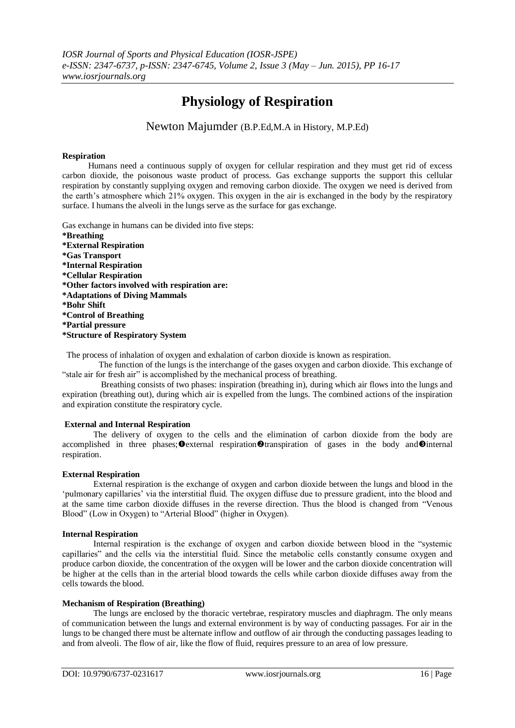# **Physiology of Respiration**

Newton Majumder (B.P.Ed,M.A in History, M.P.Ed)

### **Respiration**

 Humans need a continuous supply of oxygen for cellular respiration and they must get rid of excess carbon dioxide, the poisonous waste product of process. Gas exchange supports the support this cellular respiration by constantly supplying oxygen and removing carbon dioxide. The oxygen we need is derived from the earth"s atmosphere which 21% oxygen. This oxygen in the air is exchanged in the body by the respiratory surface. I humans the alveoli in the lungs serve as the surface for gas exchange.

Gas exchange in humans can be divided into five steps: **\*Breathing \*External Respiration \*Gas Transport \*Internal Respiration \*Cellular Respiration \*Other factors involved with respiration are: \*Adaptations of Diving Mammals \*Bohr Shift \*Control of Breathing \*Partial pressure \*Structure of Respiratory System**

The process of inhalation of oxygen and exhalation of carbon dioxide is known as respiration.

 The function of the lungs is the interchange of the gases oxygen and carbon dioxide. This exchange of "stale air for fresh air" is accomplished by the mechanical process of breathing.

 Breathing consists of two phases: inspiration (breathing in), during which air flows into the lungs and expiration (breathing out), during which air is expelled from the lungs. The combined actions of the inspiration and expiration constitute the respiratory cycle.

#### **External and Internal Respiration**

The delivery of oxygen to the cells and the elimination of carbon dioxide from the body are accomplished in three phases;  $\Phi$  external respiration  $\Phi$  transpiration of gases in the body and  $\Phi$  internal respiration.

#### **External Respiration**

External respiration is the exchange of oxygen and carbon dioxide between the lungs and blood in the "pulmonary capillaries" via the interstitial fluid. The oxygen diffuse due to pressure gradient, into the blood and at the same time carbon dioxide diffuses in the reverse direction. Thus the blood is changed from "Venous Blood" (Low in Oxygen) to "Arterial Blood" (higher in Oxygen).

#### **Internal Respiration**

Internal respiration is the exchange of oxygen and carbon dioxide between blood in the "systemic capillaries" and the cells via the interstitial fluid. Since the metabolic cells constantly consume oxygen and produce carbon dioxide, the concentration of the oxygen will be lower and the carbon dioxide concentration will be higher at the cells than in the arterial blood towards the cells while carbon dioxide diffuses away from the cells towards the blood.

#### **Mechanism of Respiration (Breathing)**

The lungs are enclosed by the thoracic vertebrae, respiratory muscles and diaphragm. The only means of communication between the lungs and external environment is by way of conducting passages. For air in the lungs to be changed there must be alternate inflow and outflow of air through the conducting passages leading to and from alveoli. The flow of air, like the flow of fluid, requires pressure to an area of low pressure.